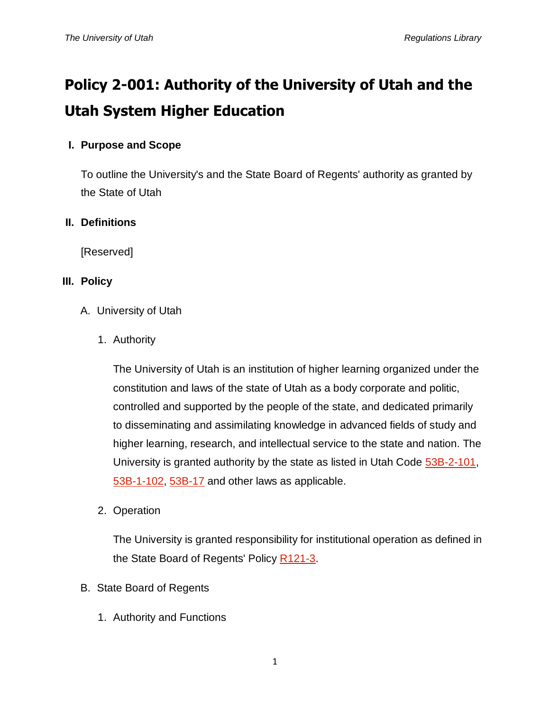# **Policy 2-001: Authority of the University of Utah and the Utah System Higher Education**

## **I. Purpose and Scope**

To outline the University's and the State Board of Regents' authority as granted by the State of Utah

#### **II. Definitions**

[Reserved]

#### **III. Policy**

- A. University of Utah
	- 1. Authority

The University of Utah is an institution of higher learning organized under the constitution and laws of the state of Utah as a body corporate and politic, controlled and supported by the people of the state, and dedicated primarily to disseminating and assimilating knowledge in advanced fields of study and higher learning, research, and intellectual service to the state and nation. The University is granted authority by the state as listed in Utah Code [53B-2-101,](http://le.utah.gov/~code/TITLE53B/htm/53B02_010100.htm) [53B-1-102,](http://le.utah.gov/~code/TITLE53B/htm/53B01_010200.htm) [53B-17](http://le.utah.gov/UtahCode/section.jsp?code=53B-17) and other laws as applicable.

2. Operation

The University is granted responsibility for institutional operation as defined in the State Board of Regents' Policy [R121-3.](http://higheredutah.org/sbr/policy/pdf/R121.pdf)

- B. State Board of Regents
	- 1. Authority and Functions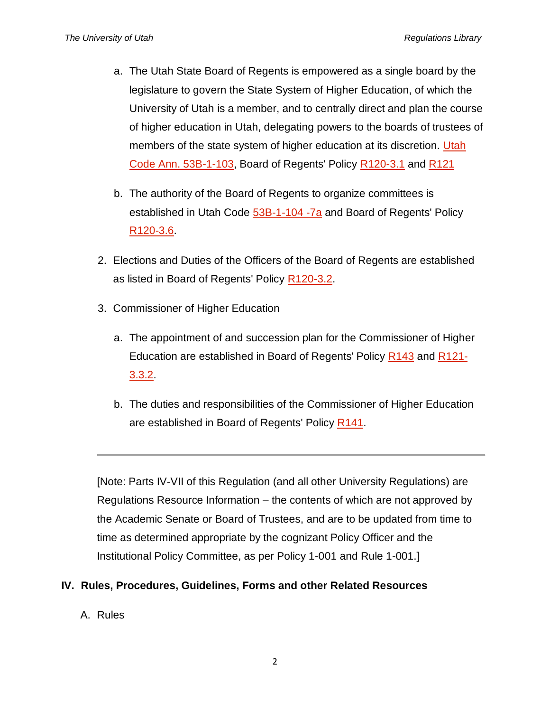- a. The Utah State Board of Regents is empowered as a single board by the legislature to govern the State System of Higher Education, of which the University of Utah is a member, and to centrally direct and plan the course of higher education in Utah, delegating powers to the boards of trustees of members of the state system of higher education at its discretion. Utah [Code Ann. 53B-1-103,](http://le.utah.gov/~code/TITLE53B/htm/53B01_010300.htm) Board of Regents' Policy [R120-3.1](http://higheredutah.org/sbr/policy/pdf/R120.pdf) and [R121](http://higheredutah.org/sbr/policy/pdf/R121.pdf)
- b. The authority of the Board of Regents to organize committees is established in Utah Code [53B-1-104 -7a](http://le.utah.gov/~code/TITLE53B/htm/53B01_010400.htm) and Board of Regents' Policy [R120-3.6.](http://higheredutah.org/sbr/policy/pdf/R120.pdf)
- 2. Elections and Duties of the Officers of the Board of Regents are established as listed in Board of Regents' Policy [R120-3.2.](http://higheredutah.org/sbr/policy/pdf/R120.pdf)
- 3. Commissioner of Higher Education
	- a. The appointment of and succession plan for the Commissioner of Higher Education are established in Board of Regents' Policy [R143](http://higheredutah.org/sbr/policy/pdf/R143.pdf) and [R121-](http://higheredutah.org/sbr/policy/pdf/R121.pdf) [3.3.2.](http://higheredutah.org/sbr/policy/pdf/R121.pdf)
	- b. The duties and responsibilities of the Commissioner of Higher Education are established in Board of Regents' Policy [R141.](http://higheredutah.org/sbr/policy/pdf/R141.pdf)

[Note: Parts IV-VII of this Regulation (and all other University Regulations) are Regulations Resource Information – the contents of which are not approved by the Academic Senate or Board of Trustees, and are to be updated from time to time as determined appropriate by the cognizant Policy Officer and the Institutional Policy Committee, as per Policy 1-001 and Rule 1-001.]

#### **IV. Rules, Procedures, Guidelines, Forms and other Related Resources**

A. Rules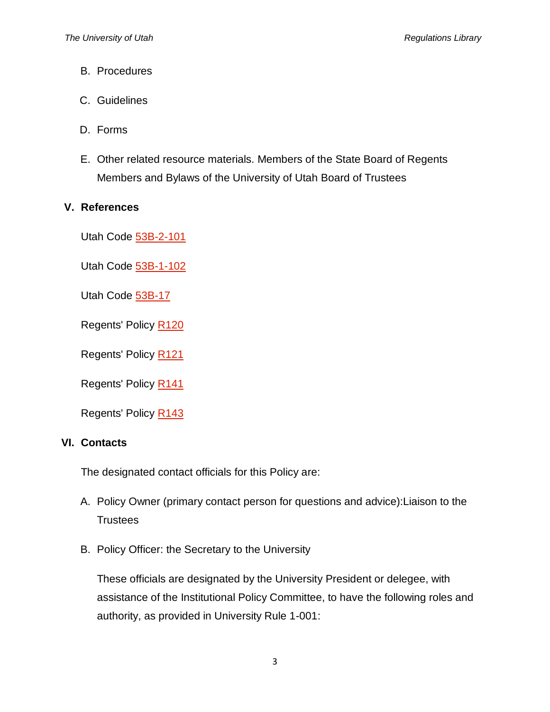- B. Procedures
- C. Guidelines
- D. Forms
- E. Other related resource materials. Members of the State Board of Regents Members and Bylaws of the University of Utah Board of Trustees

### **V. References**

Utah Code [53B-2-101](http://le.utah.gov/~code/TITLE53B/htm/53B02_010100.htm)

Utah Code [53B-1-102](http://le.utah.gov/~code/TITLE53B/htm/53B01_010200.htm)

Utah Code [53B-17](http://le.utah.gov/UtahCode/section.jsp?code=53B-17)

Regents' Policy [R120](http://higheredutah.org/sbr/policy/pdf/R120.pdf)

Regents' Policy [R121](http://higheredutah.org/sbr/policy/pdf/R121.pdf)

Regents' Policy [R141](http://higheredutah.org/sbr/policy/pdf/R141.pdf)

Regents' Policy [R143](http://higheredutah.org/sbr/policy/pdf/R143.pdf)

## **VI. Contacts**

The designated contact officials for this Policy are:

- A. Policy Owner (primary contact person for questions and advice):Liaison to the **Trustees**
- B. Policy Officer: the Secretary to the University

These officials are designated by the University President or delegee, with assistance of the Institutional Policy Committee, to have the following roles and authority, as provided in University Rule 1-001: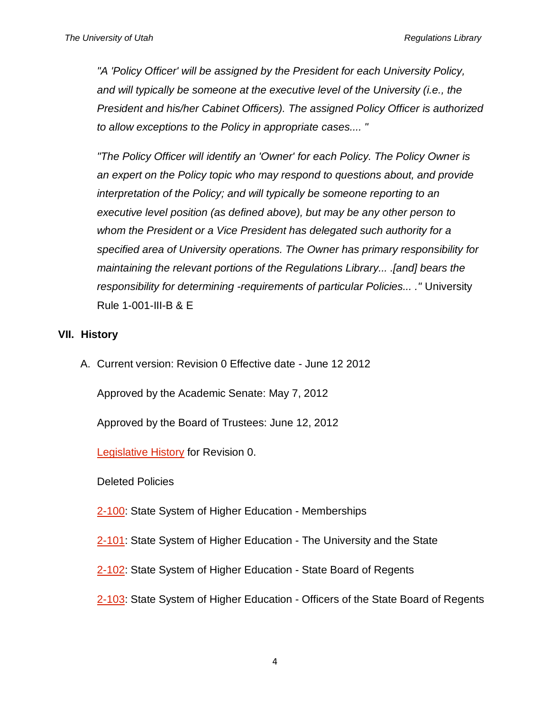*"A 'Policy Officer' will be assigned by the President for each University Policy, and will typically be someone at the executive level of the University (i.e., the President and his/her Cabinet Officers). The assigned Policy Officer is authorized to allow exceptions to the Policy in appropriate cases.... "*

*"The Policy Officer will identify an 'Owner' for each Policy. The Policy Owner is an expert on the Policy topic who may respond to questions about, and provide interpretation of the Policy; and will typically be someone reporting to an executive level position (as defined above), but may be any other person to whom the President or a Vice President has delegated such authority for a specified area of University operations. The Owner has primary responsibility for maintaining the relevant portions of the Regulations Library... .[and] bears the responsibility for determining -requirements of particular Policies... ."* University Rule 1-001-III-B & E

#### **VII. History**

A. Current version: Revision 0 Effective date - June 12 2012

Approved by the Academic Senate: May 7, 2012

Approved by the Board of Trustees: June 12, 2012

[Legislative History](http://regulations.utah.edu/u-organizations/appendices_2/2-001R0_memo.pdf) for Revision 0.

Deleted Policies

[2-100:](http://regulations.utah.edu/u-organizations/revisions_2/2-100-deleted.pdf) State System of Higher Education - Memberships

[2-101:](http://regulations.utah.edu/u-organizations/revisions_2/2-101-deleted.pdf) State System of Higher Education - The University and the State

[2-102:](http://regulations.utah.edu/u-organizations/revisions_2/2-102-deleted.pdf) State System of Higher Education - State Board of Regents

[2-103:](http://regulations.utah.edu/u-organizations/revisions_2/2-103-deleted.pdf) State System of Higher Education - Officers of the State Board of Regents